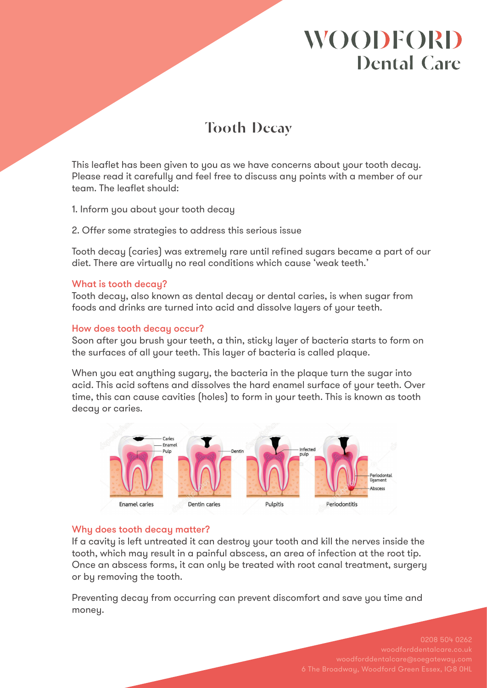# **WOODFORD Dental Care**

## **Tooth Decay**

This leaflet has been given to you as we have concerns about your tooth decay. Please read it carefully and feel free to discuss any points with a member of our team. The leaflet should:

1. Inform you about your tooth decay

2. Offer some strategies to address this serious issue

Tooth decay (caries) was extremely rare until refined sugars became a part of our diet. There are virtually no real conditions which cause 'weak teeth.'

#### What is tooth decay?

Tooth decay, also known as dental decay or dental caries, is when sugar from foods and drinks are turned into acid and dissolve layers of your teeth.

### How does tooth decay occur?

Soon after you brush your teeth, a thin, sticky layer of bacteria starts to form on the surfaces of all your teeth. This layer of bacteria is called plaque.

When you eat anything sugary, the bacteria in the plaque turn the sugar into acid. This acid softens and dissolves the hard enamel surface of your teeth. Over time, this can cause cavities (holes) to form in your teeth. This is known as tooth decay or caries.



### Why does tooth decay matter?

If a cavity is left untreated it can destroy your tooth and kill the nerves inside the tooth, which may result in a painful abscess, an area of infection at the root tip. Once an abscess forms, it can only be treated with root canal treatment, surgery or by removing the tooth.

Preventing decay from occurring can prevent discomfort and save you time and money.